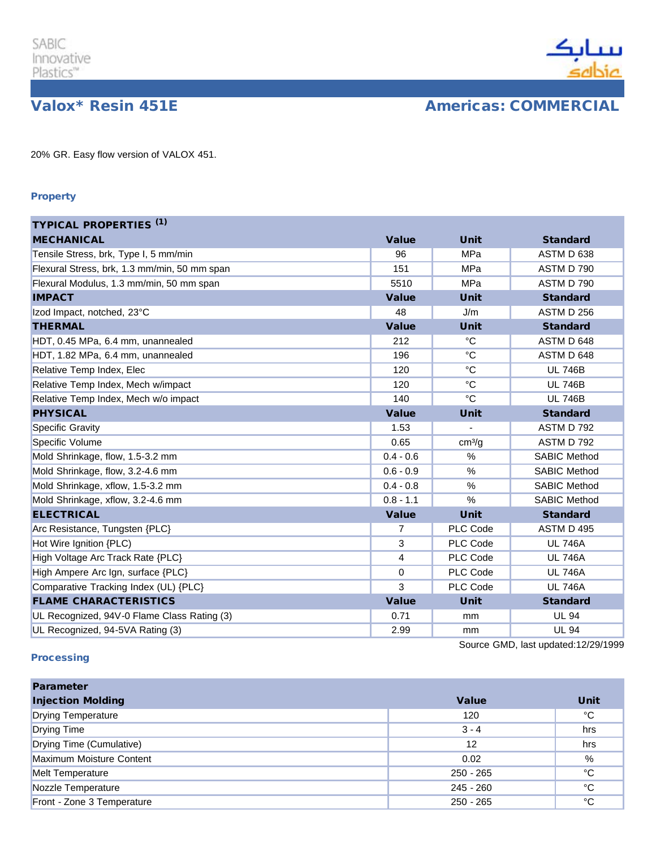

**Valox\* Resin 451E Americas: COMMERCIAL** 

20% GR. Easy flow version of VALOX 451.

## Property

| <b>TYPICAL PROPERTIES (1)</b>                |                |                    |                                     |
|----------------------------------------------|----------------|--------------------|-------------------------------------|
| <b>MECHANICAL</b>                            | <b>Value</b>   | <b>Unit</b>        | <b>Standard</b>                     |
| Tensile Stress, brk, Type I, 5 mm/min        | 96             | MPa                | ASTM D 638                          |
| Flexural Stress, brk, 1.3 mm/min, 50 mm span | 151            | MPa                | ASTM D 790                          |
| Flexural Modulus, 1.3 mm/min, 50 mm span     | 5510           | MPa                | ASTM D 790                          |
| <b>IMPACT</b>                                | <b>Value</b>   | <b>Unit</b>        | <b>Standard</b>                     |
| Izod Impact, notched, 23°C                   | 48             | J/m                | <b>ASTM D 256</b>                   |
| <b>THERMAL</b>                               | Value          | <b>Unit</b>        | <b>Standard</b>                     |
| HDT, 0.45 MPa, 6.4 mm, unannealed            | 212            | °C                 | ASTM D 648                          |
| HDT, 1.82 MPa, 6.4 mm, unannealed            | 196            | $^{\circ}C$        | ASTM D 648                          |
| Relative Temp Index, Elec                    | 120            | $^{\circ}C$        | <b>UL 746B</b>                      |
| Relative Temp Index, Mech w/impact           | 120            | $^{\circ}C$        | <b>UL 746B</b>                      |
| Relative Temp Index, Mech w/o impact         | 140            | $^{\circ}C$        | <b>UL 746B</b>                      |
| <b>PHYSICAL</b>                              | <b>Value</b>   | <b>Unit</b>        | <b>Standard</b>                     |
| <b>Specific Gravity</b>                      | 1.53           | ÷,                 | ASTM D 792                          |
| Specific Volume                              | 0.65           | cm <sup>3</sup> /q | ASTM D 792                          |
| Mold Shrinkage, flow, 1.5-3.2 mm             | $0.4 - 0.6$    | $\%$               | <b>SABIC Method</b>                 |
| Mold Shrinkage, flow, 3.2-4.6 mm             | $0.6 - 0.9$    | %                  | <b>SABIC Method</b>                 |
| Mold Shrinkage, xflow, 1.5-3.2 mm            | $0.4 - 0.8$    | $\%$               | <b>SABIC Method</b>                 |
| Mold Shrinkage, xflow, 3.2-4.6 mm            | $0.8 - 1.1$    | %                  | <b>SABIC Method</b>                 |
| <b>ELECTRICAL</b>                            | <b>Value</b>   | <b>Unit</b>        | <b>Standard</b>                     |
| Arc Resistance, Tungsten {PLC}               | $\overline{7}$ | PLC Code           | ASTM D 495                          |
| Hot Wire Ignition {PLC)                      | 3              | PLC Code           | <b>UL 746A</b>                      |
| High Voltage Arc Track Rate {PLC}            | 4              | PLC Code           | <b>UL 746A</b>                      |
| High Ampere Arc Ign, surface {PLC}           | $\Omega$       | PLC Code           | <b>UL 746A</b>                      |
| Comparative Tracking Index (UL) {PLC}        | 3              | PLC Code           | <b>UL 746A</b>                      |
| <b>FLAME CHARACTERISTICS</b>                 | <b>Value</b>   | <b>Unit</b>        | <b>Standard</b>                     |
| UL Recognized, 94V-0 Flame Class Rating (3)  | 0.71           | mm                 | <b>UL 94</b>                        |
| UL Recognized, 94-5VA Rating (3)             | 2.99           | mm                 | <b>UL 94</b>                        |
|                                              |                |                    | Source GMD, last updated:12/29/1999 |

## **Processing**

| <b>Parameter</b>           |              |             |
|----------------------------|--------------|-------------|
| <b>Injection Molding</b>   | <b>Value</b> | <b>Unit</b> |
| <b>Drying Temperature</b>  | 120          | °C          |
| <b>Drying Time</b>         | $3 - 4$      | hrs         |
| Drying Time (Cumulative)   | 12           | hrs         |
| Maximum Moisture Content   | 0.02         | %           |
| <b>Melt Temperature</b>    | $250 - 265$  | °C          |
| Nozzle Temperature         | $245 - 260$  | °C          |
| Front - Zone 3 Temperature | $250 - 265$  | °C          |